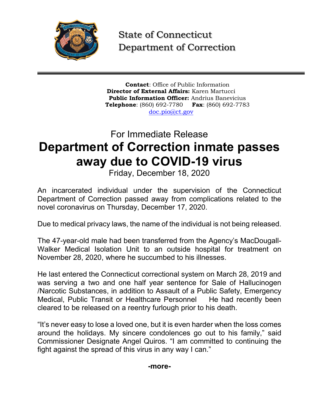

State of Connecticut Department of Correction

**Contact**: Office of Public Information **Director of External Affairs:** Karen Martucci **Public Information Officer:** Andrius Banevicius **Telephone**: (860) 692-7780 **Fax**: (860) 692-7783 [doc.pio@ct.gov](mailto:doc.pio@ct.gov)

## For Immediate Release **Department of Correction inmate passes away due to COVID-19 virus**

Friday, December 18, 2020

An incarcerated individual under the supervision of the Connecticut Department of Correction passed away from complications related to the novel coronavirus on Thursday, December 17, 2020.

Due to medical privacy laws, the name of the individual is not being released.

The 47-year-old male had been transferred from the Agency's MacDougall-Walker Medical Isolation Unit to an outside hospital for treatment on November 28, 2020, where he succumbed to his illnesses.

He last entered the Connecticut correctional system on March 28, 2019 and was serving a two and one half year sentence for Sale of Hallucinogen /Narcotic Substances, in addition to Assault of a Public Safety, Emergency Medical, Public Transit or Healthcare Personnel He had recently been cleared to be released on a reentry furlough prior to his death.

"It's never easy to lose a loved one, but it is even harder when the loss comes around the holidays. My sincere condolences go out to his family," said Commissioner Designate Angel Quiros. "I am committed to continuing the fight against the spread of this virus in any way I can."

## **-more-**